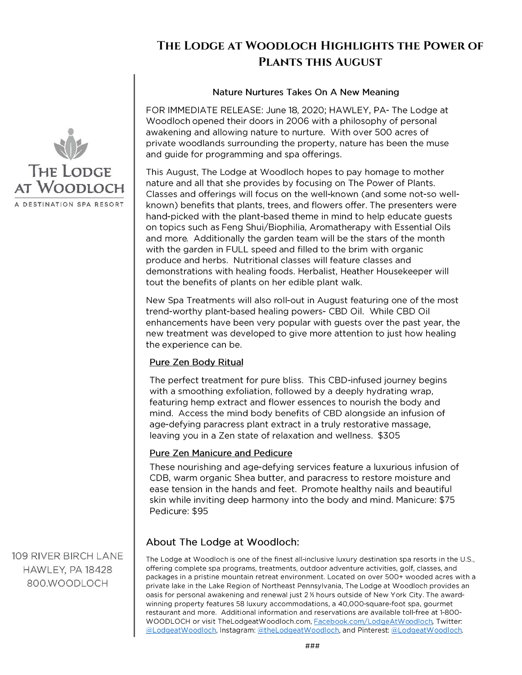# **The Lodge at Woodloch Highlights the Power of Plants this August**

#### Nature Nurtures Takes On A New Meaning

FOR IMMEDIATE RELEASE: June 18, 2020; HAWLEY, PA- The Lodge at Woodloch opened their doors in 2006 with a philosophy of personal awakening and allowing nature to nurture. With over 500 acres of private woodlands surrounding the property, nature has been the muse and guide for programming and spa offerings.

This August, The Lodge at Woodloch hopes to pay homage to mother nature and all that she provides by focusing on The Power of Plants. Classes and offerings will focus on the well-known (and some not-so wellknown) benefits that plants, trees, and flowers offer. The presenters were hand-picked with the plant-based theme in mind to help educate guests on topics such as Feng Shui/Biophilia, Aromatherapy with Essential Oils and more. Additionally the garden team will be the stars of the month with the garden in FULL speed and filled to the brim with organic produce and herbs. Nutritional classes will feature classes and demonstrations with healing foods. Herbalist, Heather Housekeeper will tout the benefits of plants on her edible plant walk.

New Spa Treatments will also roll-out in August featuring one of the most trend-worthy plant-based healing powers- CBD Oil. While CBD Oil enhancements have been very popular with guests over the past year, the new treatment was developed to give more attention to just how healing the experience can be.

### **Pure Zen Body Ritual**

The perfect treatment for pure bliss. This CBD-infused journey begins with a smoothing exfoliation, followed by a deeply hydrating wrap, featuring hemp extract and flower essences to nourish the body and mind. Access the mind body benefits of CBD alongside an infusion of age-defying paracress plant extract in a truly restorative massage, leaving you in a Zen state of relaxation and wellness. \$305

### **Pure Zen Manicure and Pedicure**

These nourishing and age-defying services feature a luxurious infusion of CDB, warm organic Shea butter, and paracress to restore moisture and ease tension in the hands and feet. Promote healthy nails and beautiful skin while inviting deep harmony into the body and mind. Manicure: \$75 Pedicure: \$95

## About The Lodge at Woodloch:

The Lodge at Woodloch is one of the finest all-inclusive luxury destination spa resorts in the U.S., offering complete spa programs, treatments, outdoor adventure activities, golf, classes, and packages in a pristine mountain retreat environment. Located on over 500+ wooded acres with a private lake in the Lake Region of Northeast Pennsylvania, The Lodge at Woodloch provides an oasis for personal awakening and renewal just 2 % hours outside of New York City. The awardwinning property features 58 luxury accommodations, a 40,000-square-foot spa, gourmet restaurant and more. Additional information and reservations are available toll-free at 1-800-WOODLOCH or visit TheLodgeatWoodloch.com, [Facebook.com/LodgeAtWoodloch,](https://www.facebook.com/LodgeAtWoodloch?ref=bookmarks) Twitter: [\(aJLodgeatWoodloch,](https://twitter.com/lodgeatwoodloch) lnstagram: [\(altheLodgeatWoodloch,](https://www.instagram.com/thelodgeatwoodloch/) and Pinterest: (a' [LodgeatWood](https://www.pinterest.com/lodgeatwoodloch/) loch.



109 RIVER BIRCH LANE HAWLEY, PA 18428 800.WOODLOCH